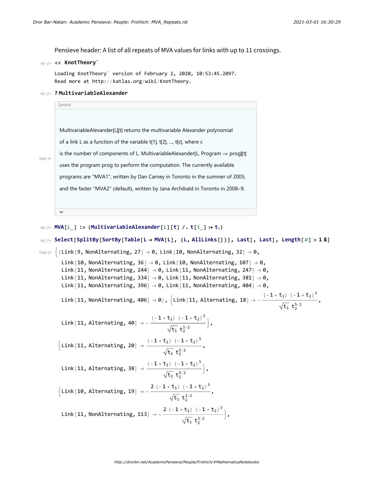Pensieve header: A list of all repeats of MVA values for links with up to 11 crossings.

## In[ ]:= **<< KnotTheory`**

Out[ $e$ ]=

Loading KnotTheory` version of February 2, 2020, 10:53:45.2097. Read more at http://katlas.org/wiki/KnotTheory.

## In[ ]:= **? MultivariableAlexander**

| Symbol                                                                           |  |
|----------------------------------------------------------------------------------|--|
|                                                                                  |  |
| MultivariableAlexander[L][t] returns the multivariable Alexander polynomial      |  |
| of a link L as a function of the variable t[1], t[2], , t[c], where c            |  |
| is the number of components of L. MultivariableAlexander[L, Program –> prog][t]  |  |
| uses the program prog to perform the computation. The currently available        |  |
| programs are "MVA1", written by Dan Carney in Toronto in the summer of 2005,     |  |
| and the faster "MVA2" (default), written by Jana Archibald in Toronto in 2008–9. |  |
|                                                                                  |  |
|                                                                                  |  |

In[ ]:= **MVA[**L\_**] := (MultivariableAlexander[**L**][t] /. t[**i\_**] ⧴ t**i**)**

$$
\begin{aligned}\n\text{Mel} &= \text{Select[SplitBy[SortBy[Table[L \rightarrow MVA[L], \{L, AllLinks[]\}], \text{Last}], \text{Last}], \text{Length}[\#] > 1 & \text{B}} \\
&\text{Out[19]} & \{ \{\text{Link}[9, NonAlternating, 27] \rightarrow 0, \text{Link}[10, NonAlternating, 32] \rightarrow 0, \text{Link}[10, NonAlternating, 247] \rightarrow 0, \text{Link}[11, NonAlternating, 247] \rightarrow 0, \text{Link}[11, NonAlternating, 247] \rightarrow 0, \text{Link}[11, NonAlternating, 247] \rightarrow 0, \text{Link}[11, NonAlternating, 381] \rightarrow 0, \text{Link}[11, NonAlternating, 396] \rightarrow 0, \text{Link}[11, NonAlternating, 404] \rightarrow 0, \text{Link}[11, NonAlternating, 406] \rightarrow 0), \{ \text{Link}[11, Alternating, 48] \rightarrow -\frac{(-1 + t_1) (-1 + t_2)^5}{\sqrt{t_1} t_2^{5/2}}, \text{Link}[11, Alternating, 20] \rightarrow -\frac{(-1 + t_1) (-1 + t_2)^5}{\sqrt{t_1} t_2^{5/2}}, \text{Link}[11, Alternating, 20] \rightarrow \frac{(-1 + t_1) (-1 + t_2)^5}{\sqrt{t_1} t_2^{5/2}}, \text{Link}[10, Alternating, 38] \rightarrow \frac{(-1 + t_1) (-1 + t_2)^5}{\sqrt{t_1} t_2^{5/2}}, \text{Link}[10, Alternating, 19] \rightarrow -\frac{2 (-1 + t_1) (-1 + t_2)^3}{\sqrt{t_1} t_2^{3/2}}, \text{Link}[11, NonAlternating, 113] \rightarrow -\frac{2 (-1 + t_1) (-1 + t_2)^3}{\sqrt{t_1} t_2^{3/2}} \text{,}\n\end{aligned}
$$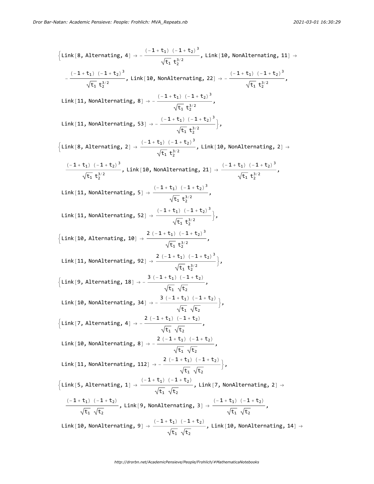$$
\{Link(8, Alternating, 4) \rightarrow -\frac{(-1 + t_1) (-1 + t_2)^3}{\sqrt{t_1} t_2^{3/2}}, Link(10, NonAlternating, 11) \rightarrow -\frac{(-1 + t_1) (-1 + t_2)^3}{\sqrt{t_1} t_2^{3/2}}, Link(11, NonAlternating, 8) \rightarrow -\frac{(-1 + t_1) (-1 + t_2)^3}{\sqrt{t_1} t_2^{3/2}},
$$
\n
$$
Link(11, NonAlternating, 8) \rightarrow -\frac{(-1 + t_1) (-1 + t_2)^3}{\sqrt{t_1} t_2^{3/2}},
$$
\n
$$
Link(11, NonAlternating, 53] \rightarrow -\frac{(-1 + t_1) (-1 + t_2)^3}{\sqrt{t_1} t_2^{3/2}}, link(10, NonAlternating, 2) \rightarrow
$$
\n
$$
\{Link(11, Nonalternating, 2) \rightarrow \frac{(-1 + t_1) (-1 + t_2)^3}{\sqrt{t_1} t_2^{3/2}}, Link(10, NonAlternating, 21) \rightarrow \frac{(-1 + t_1) (-1 + t_2)^3}{\sqrt{t_1} t_2^{3/2}},
$$
\n
$$
Link(11, Nonalternating, 5) \rightarrow \frac{(-1 + t_1) (-1 + t_2)^3}{\sqrt{t_1} t_2^{3/2}},
$$
\n
$$
Link(11, Nonalternating, 52) \rightarrow \frac{(-1 + t_1) (-1 + t_2)^3}{\sqrt{t_1} t_2^{3/2}},
$$
\n
$$
Link(10, Alternating, 92) \rightarrow \frac{2 (-1 + t_1) (-1 + t_2)^3}{\sqrt{t_1} t_2^{3/2}},
$$
\n
$$
\{Link(11, NonAlternating, 92) \rightarrow \frac{2 (-1 + t_1) (-1 + t_2)^3}{\sqrt{t_1} t_2^{3/2}},
$$
\n
$$
Link(10, Alternating, 93) \rightarrow \frac{3 (-1 + t_1) (-1 + t_2)}{\sqrt{t_1} t_2^{3/2}},
$$
\n
$$
Link(10, Nonalternating, 94) \rightarrow \frac{3 (-1 + t_1) (-1 + t_2)}{\sqrt{t_1} \sqrt{t_2}},
$$
\n
$$
Link(10, Nonalternating,
$$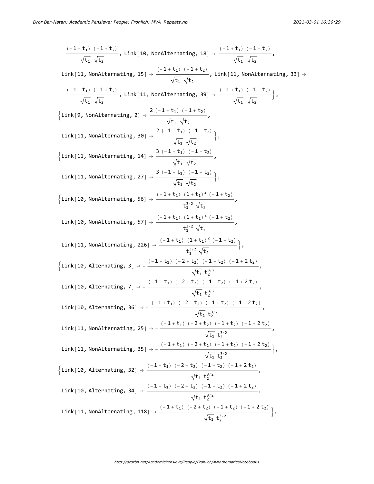$$
\frac{(-1+t_1) (-1+t_2)}{\sqrt{t_1} \sqrt{t_2}}, \text{link}[10, NonAlternating, 18] \rightarrow \frac{(-1+t_1) (-1+t_2)}{\sqrt{t_1} \sqrt{t_2}}, \text{link}[11, NonAlternating, 15] \rightarrow \frac{(-1+t_1) (-1+t_2)}{\sqrt{t_1} \sqrt{t_2}}, \text{link}[11, NonAlternating, 33] \rightarrow \frac{(-1+t_1) (-1+t_2)}{\sqrt{t_1} \sqrt{t_2}}, \text{link}[11, NonAlternating, 39] \rightarrow \frac{(-1+t_1) (-1+t_2)}{\sqrt{t_1} \sqrt{t_2}},
$$
\n
$$
\left\{Link[9, NonAlternating, 2] \rightarrow \frac{2 (-1+t_1) (-1+t_2)}{\sqrt{t_1} \sqrt{t_2}}, \frac{(-1+t_1) (-1+t_2)}{\sqrt{t_1} \sqrt{t_2}}, \right\}
$$
\n
$$
\left\{Link[11, NonAlternating, 30] \rightarrow \frac{2 (-1+t_1) (-1+t_2)}{\sqrt{t_1} \sqrt{t_2}}, \frac{(-1+t_1) (-1+t_2)}{\sqrt{t_1} \sqrt{t_2}}, \right\}
$$
\n
$$
\left\{Link[11, NonAlternating, 27] \rightarrow \frac{3 (-1+t_1) (1+t_2)}{\sqrt{t_1} \sqrt{t_2}}, \frac{(-1+t_2) (-1+t_2)}{\sqrt{t_2} \sqrt{t_2}}, \right\}
$$
\n
$$
Link[10, Nonalternating, 56] \rightarrow \frac{(-1+t_1) (1+t_1)^2 (-1+t_2)}{\sqrt{t_1} \sqrt{t_2}}, \text{link}[10, Nonalternating, 226] \rightarrow \frac{(-1+t_1) (1+t_1)^2 (-1+t_2)}{t_1^{2/2} \sqrt{t_2}}, \text{link}[11, Nonalternating, 226] \rightarrow \frac{(-1+t_1) (1+t_1)^2 (-1+t_2)}{t_1^{2/2} \sqrt{t_2}}, \left\{Link[10, Alternating, 3] \rightarrow -\frac{(-1+t_1) (-2+t_2) (-1+t_2) (-1+t_2) (-1+t_2)}{\sqrt{t_1} t_2^{2/2}}, \text{link}[10, Alternating, 36] \rightarrow -\frac{(-1+t_1) (-2+t_2) (-
$$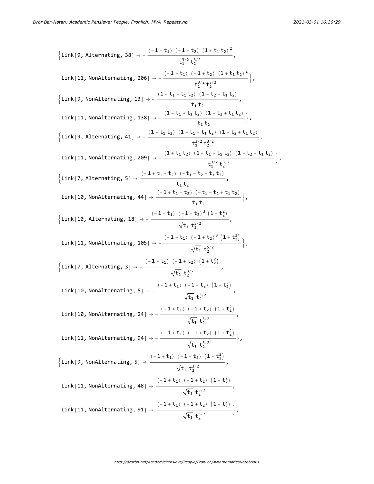$$
\{Link(9, Alternating, 38) \rightarrow -\frac{(-1+t_1)(-1+t_2)(1+t_1t_2)^2}{t_1^{3/2}t_2^{3/2}},\
$$
\n
$$
Link(11, NonAlternating, 206) \rightarrow -\frac{(-1+t_1)(-1+t_2)(1+t_1t_2)^2}{t_1^{3/2}t_2^{3/2}}\}.
$$
\n
$$
\{Link(9, NonAlternating, 13) \rightarrow -\frac{(1-t_1+t_1t_2)(1-t_2+t_1t_2)}{t_1t_2},\
$$
\n
$$
Link(11, NonAlternating, 138) \rightarrow -\frac{(1-t_1+t_1t_2)(1-t_2+t_1t_2)}{t_1t_2},\
$$
\n
$$
Link(9, Alternating, 41) \rightarrow -\frac{(1+t_1+t_2)(1-t_1+t_1t_2)(1-t_2+t_1t_2)}{t_2^{3/2}t_2^{3/2}}\}.
$$
\n
$$
Link(10, NonAlternating, 209] \rightarrow -\frac{(1+t_1t_2)(1-t_1+t_1t_2)(1-t_2+t_1t_2)}{t_2^{3/2}t_2^{3/2}}\}.
$$
\n
$$
Link(11, NonAlternating, 41) \rightarrow \frac{(-1+t_1+t_2)(-t_1-t_2+t_1t_2)}{t_1t_2},\
$$
\n
$$
Link(10, NonAlternating, 44) \rightarrow \frac{(-1+t_1)(-1+t_2)^3(1+t_2^2)}{t_1t_2},\
$$
\n
$$
Link(11, NonAlternating, 18) \rightarrow -\frac{(-1+t_1)(-1+t_2)^3(1+t_2^2)}{\sqrt{t_1}t_2^{3/2}},\
$$
\n
$$
Link(11, NonAlternating, 5) \rightarrow -\frac{(-1+t_1)(-1+t_2)(1+t_2^2)}{\sqrt{t_1}t_2^{3/2}},\
$$
\n
$$
Link(10, NonAlternating, 5) \rightarrow -\frac{(-1+t_1)(-1+t_2)(1+t_2^2)}{\sqrt{t_1}t_2^{3/2}},\
$$
\n
$$
Link(10, NonAlternating, 5) \rightarrow -\frac{(-1+t_1)(-1+t_2)(1+t_2^2
$$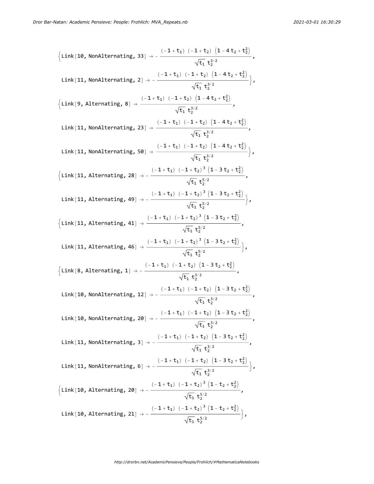$$
\begin{aligned}\n\{\text{Link}[10, NonAlternating, 33] &\rightarrow -\frac{(-1+t_1) (-1+t_2) (1-4t_2+t_2^2)}{\sqrt{t_1} t_2^{3/2}},\\ \text{Link}[11, NonAlternating, 2] &\rightarrow -\frac{(-1+t_1) (-1+t_2) (1-4t_2+t_2^2)}{\sqrt{t_1} t_2^{3/2}},\\ \{\text{Link}[9, Alternating, 8] &\rightarrow \frac{(-1+t_1) (-1+t_2) (1-4t_2+t_2^2)}{\sqrt{t_1} t_2^{3/2}},\\ \text{Link}[11, NonAlternating, 23] &\rightarrow \frac{(-1+t_1) (-1+t_2) (1-4t_2+t_2^2)}{\sqrt{t_1} t_2^{3/2}},\\ \text{Link}[11, NonAlternating, 50] &\rightarrow \frac{(-1+t_1) (-1+t_2) (1-4t_2+t_2^2)}{\sqrt{t_1} t_2^{3/2}},\\ \{\text{Link}[11, Alternating, 28] &\rightarrow -\frac{(-1+t_1) (-1+t_2) (1-3t_2+t_2^2)}{\sqrt{t_1} t_2^{5/2}},\\ \text{Link}[11, Alternating, 49] &\rightarrow -\frac{(-1+t_1) (-1+t_2) (1-3t_2+t_2^2)}{\sqrt{t_1} t_2^{5/2}},\\ \{\text{Link}[11, Alternating, 41] &\rightarrow \frac{(-1+t_1) (-1+t_2) (1-3t_2+t_2^2)}{\sqrt{t_1} t_2^{5/2}},\\ \text{Link}[10, Alternating, 41] &\rightarrow \frac{(-1+t_1) (-1+t_2) (1-3t_2+t_2^2)}{\sqrt{t_1} t_2^{5/2}},\\ \{\text{Link}[10, NonAlternating, 12] &\rightarrow -\frac{(-1+t_1) (-1+t_2) (1-3t_2+t_2^2)}{\sqrt{t_1} t_2^{3/2}},\\ \text{Link}[10, NonAlternating, 22] &\rightarrow -\frac{(-1+t_1) (-1+t_2) (1-3t_2+t_2^2)}{\sqrt{t_1} t_2^{3/2}},\\ \text{Link}[10, NonAlternating, 20] &\rightarrow -\frac{(-1+t_1) (-1+t_2) (1-3t_2+t_2^2)}{\sqrt{t_1} t_2
$$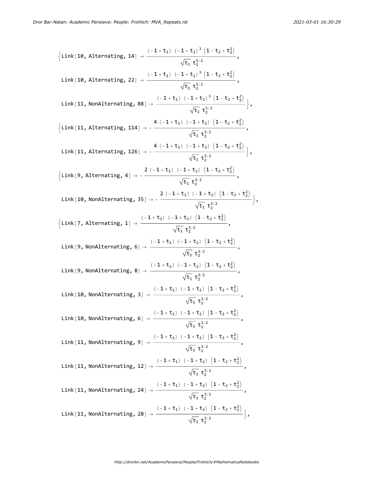$$
\{Link[10, Alternating, 14] \rightarrow \frac{(-1+t_1) (-1+t_2)^3 (1-t_2+t_2^2)}{\sqrt{t_1} t_2^{5/2}},\
$$
\n
$$
Link[10, Alternating, 22] \rightarrow \frac{(-1+t_1) (-1+t_2)^3 (1-t_2+t_2^2)}{\sqrt{t_1} t_2^{5/2}},\
$$
\n
$$
Link[11, Nonalternating, 88] \rightarrow \frac{(-1+t_1) (-1+t_2)^3 (1-t_2+t_2^2)}{\sqrt{t_1} t_2^{5/2}} \}
$$
\n
$$
\{Link[11, Alternating, 114] \rightarrow -\frac{4 (-1+t_1) (-1+t_2) (1-t_2+t_2^2)}{\sqrt{t_1} t_2^{5/2}},\
$$
\n
$$
Link[11, Alternating, 126] \rightarrow -\frac{4 (-1+t_1) (-1+t_2) (1-t_2+t_2^2)}{\sqrt{t_1} t_2^{5/2}} \}
$$
\n
$$
\{Link[9, Alternating, 4] \rightarrow -\frac{2 (-1+t_1) (-1+t_2) (1-t_2+t_2^2)}{\sqrt{t_1} t_2^{3/2}},\
$$
\n
$$
Link[10, Nonalternating, 35] \rightarrow -\frac{2 (-1+t_1) (-1+t_2) (1-t_2+t_2^2)}{\sqrt{t_1} t_2^{3/2}},\
$$
\n
$$
link[10, Nonalternating, 35] \rightarrow -\frac{2 (-1+t_1) (-1+t_2) (1-t_2+t_2^2)}{\sqrt{t_1} t_2^{3/2}},\
$$
\n
$$
Link[9, Nonalternating, 6] \rightarrow \frac{(-1+t_1) (-1+t_2) (1-t_2+t_2^2)}{\sqrt{t_1} t_2^{3/2}},\
$$
\n
$$
Link[9, Nonalternating, 8] \rightarrow \frac{(-1+t_1) (-1+t_2) (1-t_2+t_2^2)}{\sqrt{t_1} t_2^{3/2}},\
$$
\n
$$
Link[10, Nonalternating, 8] \rightarrow \frac{(-1+t_1) (-1+t_2) (1-t_2+t_2^2)}{\sqrt{t_1} t_2^{3/2}},\
$$
\n
$$
Link[10, Nonalternating, 9] \rightarrow \frac
$$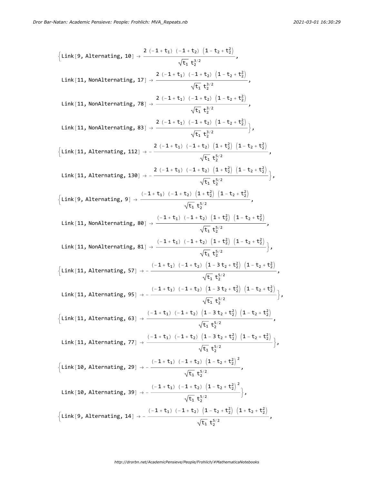$$
\{Link[9, Alternating, 18]\} \rightarrow \frac{2(-1+t_1) (-1+t_2) (1-t_2+t_2^2)}{\sqrt{t_1} t_2^{3/2}},
$$
\n
$$
Link[11, NonAlternating, 17] \rightarrow \frac{2(-1+t_1) (-1+t_2) (1-t_2+t_2^2)}{\sqrt{t_1} t_2^{3/2}},
$$
\n
$$
Link[11, NonAlternating, 78] \rightarrow \frac{2(-1+t_1) (-1+t_2) (1-t_2+t_2^2)}{\sqrt{t_1} t_2^{3/2}},
$$
\n
$$
Link[11, NonAlternating, 83] \rightarrow \frac{2(-1+t_1) (-1+t_2) (1-t_2+t_2^2)}{\sqrt{t_1} t_2^{3/2}},
$$
\n
$$
\{Link[11, Alternating, 112] \rightarrow -\frac{2(-1+t_1) (-1+t_2) (1+t_2^2) (1-t_2+t_2^2)}{\sqrt{t_1} t_2^{5/2}},
$$
\n
$$
Link[11, Alternating, 138] \rightarrow -\frac{2(-1+t_1) (-1+t_2) (1+t_2^2) (1-t_2+t_2^2)}{\sqrt{t_1} t_2^{5/2}},
$$
\n
$$
Link[19, Alternating, 9] \rightarrow \frac{(-1+t_1) (-1+t_2) (1+t_2^2) (1-t_2+t_2^2)}{\sqrt{t_1} t_2^{5/2}},
$$
\n
$$
Link[11, NonAlternating, 88] \rightarrow \frac{(-1+t_1) (-1+t_2) (1+t_2^2) (1-t_2+t_2^2)}{\sqrt{t_1} t_2^{5/2}},
$$
\n
$$
Link[11, NonAlternating, 81] \rightarrow \frac{(-1+t_1) (-1+t_2) (1+t_2^2) (1-t_2+t_2^2)}{\sqrt{t_1} t_2^{5/2}},
$$
\n
$$
\{Link[11, NonAlternating, 81] \rightarrow \frac{(-1+t_1) (-1+t_2) (1-t_2^2) (1-t_2+t_2^2)}{\sqrt{t_1} t_2^{5/2}},
$$
\n
$$
\{Link[11, Alternating, 57] \rightarrow -\frac{(-1+t_1) (-1+t_2) (1-3t_2+t_2^2
$$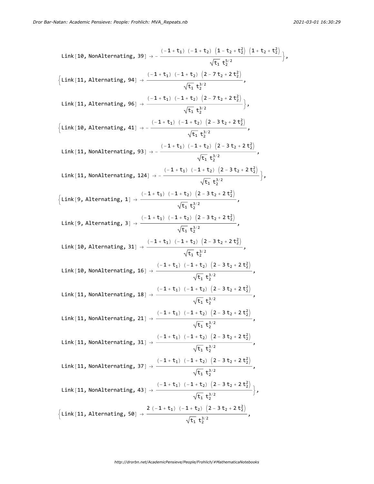Link[10, NonAlternating, 39] 
$$
\rightarrow -\frac{(-1+t_1)(-1+t_2)(1-t_2+t_2^2)(1+t_2+t_2^2)}{\sqrt{t_1} t_2^{5/2}}
$$
  
\n{Link[11, Alternating, 94]  $\rightarrow \frac{(-1+t_1)(-1+t_2)(2-7t_2+2t_2^2)}{\sqrt{t_1} t_2^{3/2}}$ ,  
\nLink[11, Alternating, 96]  $\rightarrow \frac{(-1+t_1)(-1+t_2)(2-7t_2+2t_2^2)}{\sqrt{t_1} t_2^{3/2}}$ ,  
\n{Link[10, Alternating, 41]  $\rightarrow -\frac{(-1+t_1)(-1+t_2)(2-3t_2+2t_2^2)}{\sqrt{t_1} t_2^{3/2}}$ ,  
\nLink[11, NonAlternating, 93]  $\rightarrow -\frac{(-1+t_1)(-1+t_2)(2-3t_2+2t_2^2)}{\sqrt{t_1} t_2^{3/2}}$ ,  
\nLink[11, NonAlternating, 124]  $\rightarrow -\frac{(-1+t_1)(-1+t_2)(2-3t_2+2t_2^2)}{\sqrt{t_1} t_2^{3/2}}$ ,  
\n{Link[9, Alternating, 1]  $\rightarrow -\frac{(-1+t_1)(-1+t_2)(2-3t_2+2t_2^2)}{\sqrt{t_1} t_2^{3/2}}$ ,  
\nLink[9, Alternating, 3]  $\rightarrow \frac{(-1+t_1)(-1+t_2)(2-3t_2+2t_2^2)}{\sqrt{t_1} t_2^{3/2}}$ ,  
\nLink[10, Alternating, 31]  $\rightarrow \frac{(-1+t_1)(-1+t_2)(2-3t_2+2t_2^2)}{\sqrt{t_1} t_2^{3/2}}$ ,  
\nLink[10, Alternating, 31]  $\rightarrow \frac{(-1+t_1)(-1+t_2)(2-3t_2+2t_2^2)}{\sqrt{t_1} t_2^{3/2}}$ ,  
\nLink[10, NonAlternating, 16]  $\rightarrow \frac{(-1+t_1)(-1+t_2)(2-3t_2+2t_2^2)}{\sqrt{t_1} t_2^{3/2}}$ ,  
\nLink[11, NonAlternating, 18]  $\rightarrow \frac{(-1+t_1$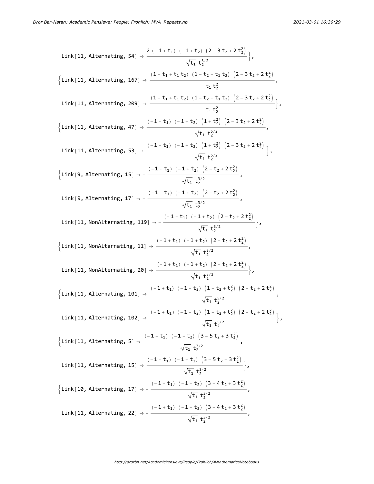Link[11, Alternating, 54] 
$$
\rightarrow \frac{2(-1+t_1)(-1+t_2)(2-3t_2+2t_2^2)}{\sqrt{t_1} t_2^{3/2}}
$$
 \n  
\n
$$
\left\{Link[11, Alternating, 167] \rightarrow \frac{(1-t_1+t_1t_2)(1-t_2+t_1t_2)(2-3t_2+2t_2^2)}{t_1t_2^2},\right.\}
$$
\nLink[11, Alternating, 209]  $\rightarrow \frac{(1-t_1+t_1t_2)(1-t_2+t_1t_2)(2-3t_2+2t_2^2)}{t_1t_2^2},\$   
\nLink[11, Alternating, 47]  $\rightarrow \frac{(-1+t_1)(-1+t_2)(1+t_2^2)(2-3t_2+2t_2^2)}{\sqrt{t_1} t_2^{5/2}},\$   
\nLink[11, Alternating, 53]  $\rightarrow \frac{(-1+t_1)(-1+t_2)(1+t_2^2)(2-3t_2+2t_2^2)}{\sqrt{t_1} t_2^{5/2}},\$   
\nLink[9, Alternating, 15]  $\rightarrow \frac{(-1+t_1)(-1+t_2)(2-t_2+2t_2^2)}{\sqrt{t_1} t_2^{3/2}},\$   
\nLink[9, Alternating, 17]  $\rightarrow -\frac{(-1+t_1)(-1+t_2)(2-t_2+2t_2^2)}{\sqrt{t_1} t_2^{3/2}},\$   
\nLink[11, Nonalternating, 119]  $\rightarrow -\frac{(-1+t_1)(-1+t_2)(2-t_2+2t_2^2)}{\sqrt{t_1} t_2^{3/2}},\$   
\nLink[11, Nonalternating, 119]  $\rightarrow -\frac{(-1+t_1)(-1+t_2)(2-t_2+2t_2^2)}{\sqrt{t_1} t_2^{3/2}},\$   
\nLink[11, Nonalternating, 20]  $\rightarrow \frac{(-1+t_1)(-1+t_2)(2-t_2+2t_2^2)}{\sqrt{t_1} t_2^{3/2}},\$   
\nLink[11, Nonalternating, 20]  $\rightarrow \frac{(-1+t_1)(-1+t_2)(2-t_2+2t_2^2)}{\sqrt{t_1} t_2^{3/2}},\$   
\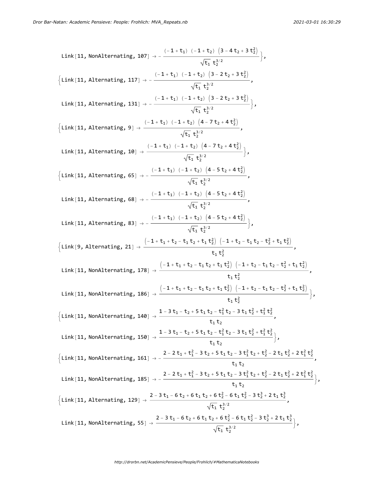Link[11, NonAlternating, 107] 
$$
\rightarrow -\frac{(-1 + t_1) (-1 + t_2) (3 - 4t_2 + 3t_2^2)}{\sqrt{t_1} t_2^{3/2}}
$$
,  
\n{Link[11, Alternating, 117]  $\rightarrow -\frac{(-1 + t_1) (-1 + t_2) (3 - 2t_2 + 3t_2^2)}{\sqrt{t_1} t_2^{3/2}}$ ,  
\nLink[11, Alternating, 131]  $\rightarrow -\frac{(-1 + t_1) (-1 + t_2) (3 - 2t_2 + 3t_2^2)}{\sqrt{t_1} t_2^{3/2}}$ ,  
\nLink[11, Alternating, 9]  $\rightarrow \frac{(-1 + t_1) (-1 + t_2) (4 - 7t_2 + 4t_2^2)}{\sqrt{t_1} t_2^{3/2}}$ ,  
\nLink[11, Alternating, 10]  $\rightarrow \frac{(-1 + t_1) (-1 + t_2) (4 - 7t_2 + 4t_2^2)}{\sqrt{t_1} t_2^{3/2}}$ ,  
\nLink[11, Alternating, 65]  $\rightarrow -\frac{(-1 + t_1) (-1 + t_2) (4 - 5t_2 + 4t_2^2)}{\sqrt{t_1} t_2^{3/2}}$ ,  
\nLink[11, Alternating, 68]  $\rightarrow -\frac{(-1 + t_1) (1 + t_2) (4 - 5t_2 + 4t_2^2)}{\sqrt{t_1} t_2^{3/2}}$ ,  
\nLink[11, Alternating, 83]  $\rightarrow -\frac{(-1 + t_1) (1 + t_2) (4 - 5t_2 + 4t_2^2)}{\sqrt{t_1} t_2^{3/2}}$ ,  
\nLink[11, Alternating, 83]  $\rightarrow -\frac{(-1 + t_1) (-1 + t_2) (4 - 5t_2 + 4t_2^2)}{\sqrt{t_1} t_2^{3/2}}$ ,  
\nLink[11, Alternating, 131]  $\rightarrow \frac{(-1 + t_1) (1 + t_2) (4 - 5t_2 + 4t_2^2)}{t_1 t_2^{3/2}}$ ,  
\nLink[11, Nonalternating, 138]  $\rightarrow \frac{(-1 + t_1 + t_2 - t_1 t_2 + t_1 t_2^$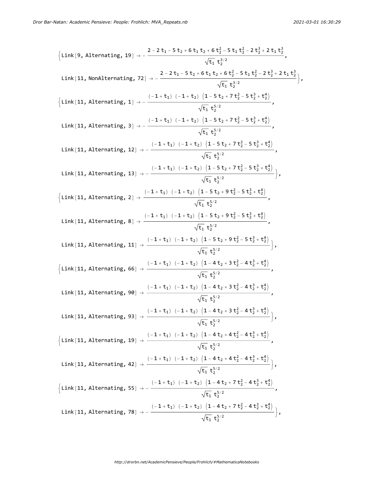$$
\{Link[9, Alternating, 19] \rightarrow -\frac{2-2t_1-5t_2+6t_1t_2+6t_2^2-5t_1t_2^2-2t_2^2+2t_1t_2^2}{\sqrt{t_1} t_2^{3/2}},\
$$
\n
$$
Link[11, NonAlternating, 72] \rightarrow -\frac{2-2t_1-5t_2+6t_1t_2+6t_2^2-5t_1t_2^2-2t_2^2+2t_1t_2^2}{\sqrt{t_1} t_2^{3/2}}\}.
$$
\n
$$
\{Link[11, Alternating, 1] \rightarrow -\frac{(-1+t_1)\ (-1+t_2)\ (1-5t_2+7t_2^2-5t_2^2+t_2^2)}{\sqrt{t_1} t_2^{5/2}},\
$$
\n
$$
Link[11, Alternating, 3] \rightarrow -\frac{(-1+t_1)\ (-1+t_2)\ (1-5t_2+7t_2^2-5t_2^2+t_2^2)}{\sqrt{t_1} t_2^{5/2}},\
$$
\n
$$
Link[11, Alternating, 12] \rightarrow -\frac{(-1+t_1)\ (-1+t_2)\ (1-5t_2+7t_2^2-5t_2^2+t_2^2)}{\sqrt{t_1} t_2^{5/2}},\
$$
\n
$$
Link[11, Alternating, 13] \rightarrow -\frac{(-1+t_1)\ (-1+t_2)\ (1-5t_2+7t_2^2-5t_2^2+t_2^2)}{\sqrt{t_1} t_2^{5/2}},\
$$
\n
$$
\{Link[11, Alternating, 2] \rightarrow \frac{(-1+t_1)\ (-1+t_2)\ (1-5t_2+9t_2^2-5t_2^2+t_2^2)}{\sqrt{t_1} t_2^{5/2}},\
$$
\n
$$
Link[11, Alternating, 8] \rightarrow \frac{(-1+t_1)\ (-1+t_2)\ (1-5t_2+9t_2^2-5t_2^2+t_2^2)}{\sqrt{t_1} t_2^{5/2}},\
$$
\n
$$
Link[11, Alternating, 66] \rightarrow \frac{(-1+t_1)\ (-1+t_2)\ (1-5t_2+9t_2^2-5t_2^2+t_2^2)}{\sqrt{t_1} t_2^{
$$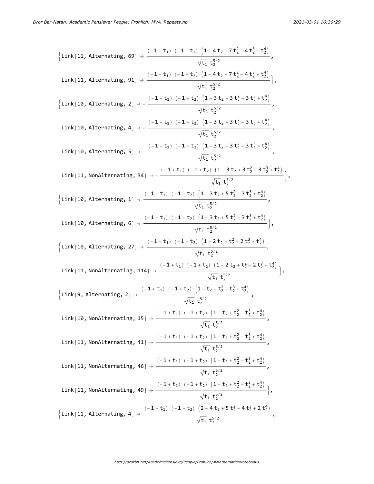$$
\{Link[11, Alternating, 69] \rightarrow \frac{(-1+t_1) (-1+t_2) (1-4t_2+7t_2^2-4t_2^3+t_2^4)}{\sqrt{t_1} t_2^{5/2}},\
$$
\n
$$
Link[11, Alternating, 91] \rightarrow \frac{(-1+t_1) (-1+t_2) (1-4t_2+7t_2^2-4t_2^3+t_2^4)}{\sqrt{t_1} t_2^{5/2}} \}
$$
\n
$$
\{Link[10, Alternating, 2] \rightarrow -\frac{(-1+t_1) (-1+t_2) (1-3t_2+3t_2^2-3t_2^2+t_2^4)}{\sqrt{t_1} t_2^{5/2}},\
$$
\n
$$
Link[10, Alternating, 4] \rightarrow -\frac{(-1+t_1) (-1+t_2) (1-3t_2+3t_2^2-3t_2^3+t_2^4)}{\sqrt{t_1} t_2^{5/2}},\
$$
\n
$$
Link[10, Alternating, 5] \rightarrow -\frac{(-1+t_1) (-1+t_2) (1-3t_2+3t_2^2-3t_2^3+t_2^4)}{\sqrt{t_1} t_2^{5/2}},\
$$
\n
$$
Link[11, NonAlternating, 34] \rightarrow -\frac{(-1+t_1) (-1+t_2) (1-3t_2+3t_2^2-3t_2^3+t_2^4)}{\sqrt{t_1} t_2^{5/2}},\
$$
\n
$$
Link[10, Alternating, 1] \rightarrow \frac{(-1+t_1) (-1+t_2) (1-3t_2+5t_2^2-3t_2^3+t_2^4)}{\sqrt{t_1} t_2^{5/2}},\
$$
\n
$$
Link[10, Alternating, 6] \rightarrow \frac{(-1+t_1) (-1+t_2) (1-3t_2+5t_2^2-3t_2^3+t_2^4)}{\sqrt{t_1} t_2^{5/2}},\
$$
\n
$$
Link[10, Alternating, 27] \rightarrow \frac{(-1+t_1) (-1+t_2) (1-2t_2+t_2^2-2t_2^2+t_2^4)}{\sqrt{t_1} t_2^{5/2}},\
$$
\n
$$
Link[10, Andternating, 114] \rightarrow \frac{(-
$$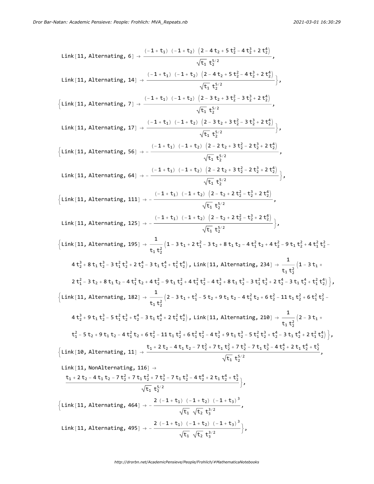Link[11, Alternating, 6] → (-1 + t1) (-1 + t2) 2 - 4 t2 + 5 t2 - 4 t2 + 2 t2 t1 t2 /<sup>2</sup> , Link[11, Alternating, 14] → (-1 + t1) (-1 + t2) 2 - 4 t2 + 5 t2 - 4 t2 + 2 t2 t1 t2 /<sup>2</sup> , Link[11, Alternating, 7] → (-1 + t1) (-1 + t2) 2 - 3 t2 + 3 t2 - 3 t2 + 2 t2 t1 t2 /<sup>2</sup> , Link[11, Alternating, 17] → (-1 + t1) (-1 + t2) 2 - 3 t2 + 3 t2 - 3 t2 + 2 t2 t1 t2 /<sup>2</sup> , Link[11, Alternating, 56] → - (-1 + t1) (-1 + t2) 2 - 2 t2 + 3 t2 - 2 t2 + 2 t2 t1 t2 /<sup>2</sup> , Link[11, Alternating, 64] → - (-1 + t1) (-1 + t2) 2 - 2 t2 + 3 t2 - 2 t2 + 2 t2 t1 t2 /<sup>2</sup> , Link[11, Alternating, 111] → - (-1 + t1) (-1 + t2) 2 - t2 + 2 t2 - t2 + 2 t2 t1 t2 /<sup>2</sup> , Link[11, Alternating, 125] → - (-1 + t1) (-1 + t2) 2 - t2 + 2 t2 - t2 + 2 t2 t1 t2 /<sup>2</sup> , Link[11, Alternating, 195] <sup>→</sup> <sup>1</sup> t1 t2 - 3 t1 + 2 t1 - 3 t2 + 8 t1 t2 - 4 t1 t2 + 4 t2 - 9 t1 t2 + 4 t1 t2 - 4 t2 + 8 t1 t2 - 3 t1 t2 + 2 t2 - 3 t1 t2 + t1 t2 , Link[11, Alternating, 234] <sup>→</sup> <sup>1</sup> t1 t2 - 3 t1 + 2 t1 - 3 t2 + 8 t1 t2 - 4 t1 t2 + 4 t2 - 9 t1 t2 + 4 t1 t2 - 4 t2 + 8 t1 t2 - 3 t1 t2 + 2 t2 - 3 t1 t2 + t1 t2 , Link[11, Alternating, 182] <sup>→</sup> <sup>1</sup> t1 t2 - 3 t1 + t1 - 5 t2 + 9 t1 t2 - 4 t1 t2 + 6 t2 - 11 t1 t2 + 6 t1 t2 - 4 t2 + 9 t1 t2 - 5 t1 t2 + t2 - 3 t1 t2 + 2 t1 t2 , Link[11, Alternating, 210] <sup>→</sup> <sup>1</sup> t1 t2 - 3 t1 + t1 - 5 t2 + 9 t1 t2 - 4 t1 t2 + 6 t2 - 11 t1 t2 + 6 t1 t2 - 4 t2 + 9 t1 t2 - 5 t1 t2 + t2 - 3 t1 t2 + 2 t1 t2 , Link[10, Alternating, 11] <sup>→</sup> t1 <sup>+</sup> 2 t2 - 4 t1 t2 - 7 t2 + 7 t1 t2 + 7 t2 - 7 t1 t2 - 4 t2 + 2 t1 t2 + t2 t1 t2 /<sup>2</sup> , Link[11, NonAlternating, 116] → t1 + 2 t2 - 4 t1 t2 - 7 t2 + 7 t1 t2 + 7 t2 - 7 t1 t2 - 4 t2 + 2 t1 t2 + t2 t1 t2 /<sup>2</sup> , Link[11, Alternating, 464] <sup>→</sup> - <sup>2</sup> (-<sup>1</sup> <sup>+</sup> t1) (-<sup>1</sup> <sup>+</sup> t2) (-<sup>1</sup> <sup>+</sup> t3)<sup>3</sup> t1 t2 t3 /<sup>2</sup> , Link[11, Alternating, 495] <sup>→</sup> - <sup>2</sup> (-<sup>1</sup> <sup>+</sup> t1) (-<sup>1</sup> <sup>+</sup> t2) (-<sup>1</sup> <sup>+</sup> t3)<sup>3</sup> t1 t2 t3 /<sup>2</sup> ,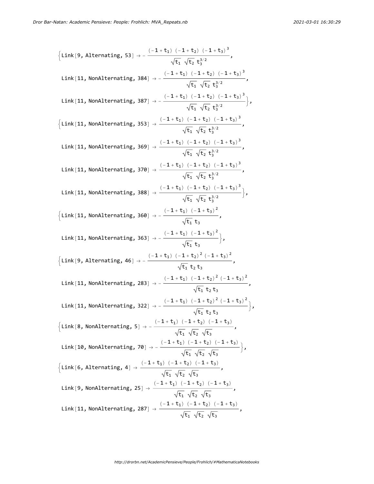$$
\begin{aligned}\n\left\{\text{Link}\left\{9,\text{Alternating, } 53\right\}\right\} &= \frac{(-1+t_{1})(-1+t_{2})(-1+t_{3})^{3}}{\sqrt{t_{1}}\sqrt{t_{2}}t_{3}^{3/2}},\\
\text{Link}\left\{11,\text{NonAlternating, } 384\right\}\right\} &= \frac{(-1+t_{1})(-1+t_{2})(-1+t_{3})^{3}}{\sqrt{t_{1}}\sqrt{t_{2}}t_{3}^{3/2}},\\
\text{Link}\left\{11,\text{NonAlternating, } 387\right\}\right) &= \frac{(-1+t_{1})(-1+t_{2})(-1+t_{3})^{3}}{\sqrt{t_{1}}\sqrt{t_{2}}t_{3}^{3/2}},\\
\left\{\text{Link}\left\{11,\text{NonAlternating, } 353\right\}\right\} &= \frac{(-1+t_{1})(-1+t_{2})(-1+t_{3})^{3}}{\sqrt{t_{1}}\sqrt{t_{2}}t_{3}^{3/2}},\\
\text{Link}\left\{11,\text{NonAlternating, } 369\right\} &= \frac{(-1+t_{1})(-1+t_{2})(-1+t_{3})^{3}}{\sqrt{t_{1}}\sqrt{t_{2}}t_{3}^{3/2}},\\
\text{Link}\left\{11,\text{NonAlternating, } 370\right\} &= \frac{(-1+t_{1})(-1+t_{2})(-1+t_{3})^{3}}{\sqrt{t_{1}}\sqrt{t_{2}}t_{3}^{3/2}},\\
\text{Link}\left\{11,\text{Nonalternating, } 388\right\} &= \frac{(-1+t_{1})(-1+t_{2})(-1+t_{3})^{3}}{\sqrt{t_{1}}\sqrt{t_{2}}t_{3}^{3/2}},\\
\left\{\text{Link}\left\{11,\text{NonAlternating, } 369\right\}\right\} &= \frac{(-1+t_{1})(-1+t_{2})^{2}(-1+t_{3})^{2}}{\sqrt{t_{1}}\sqrt{t_{2}}t_{3}^{3/2}},\\
\text{Link}\left\{11,\text{NonAlternating, } 363\right\} &= \frac{(-1+t_{1})(-1+t_{2})^{2}(-1+t_{3})^{2}}{\sqrt{t_{1}}\sqrt{t_{2}}t_{3}},\\
\text{Link}\left\{11,\text{NonAlternating, } 283
$$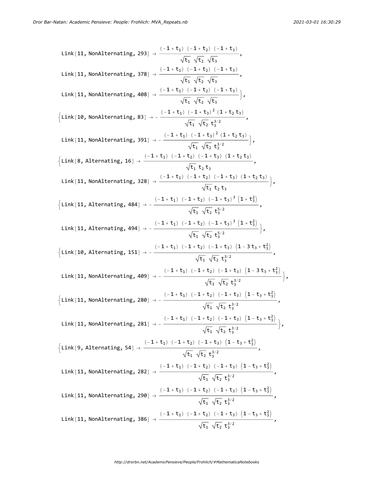Link[11, NonAlternating, 293] 
$$
\rightarrow \frac{(-1+t_1) (-1+t_2) (-1+t_3)}{\sqrt{t_1} \sqrt{t_2} \sqrt{t_3}}
$$
,  
\nLink[11, NonAlternating, 378]  $\rightarrow \frac{(-1+t_1) (-1+t_2) (-1+t_3)}{\sqrt{t_1} \sqrt{t_2} \sqrt{t_3}}$ ,  
\nLink[11, NonAlternating, 408]  $\rightarrow \frac{(-1+t_1) (-1+t_2) (-1+t_3)}{\sqrt{t_1} \sqrt{t_2} \sqrt{t_3}}$ ,  
\nLink[10, NonAlternating, 83]  $\rightarrow -\frac{(-1+t_1) (-1+t_2)^2 (1+t_2t_3)}{\sqrt{t_1} \sqrt{t_2} t_3^{3/2}}$ ,  
\nLink[11, NonAlternating, 391]  $\rightarrow -\frac{(-1+t_1) (-1+t_2)^2 (1+t_2t_3)}{\sqrt{t_1} \sqrt{t_2} t_3^{3/2}}$ ,  
\nLink[11, Nonalternating, 391]  $\rightarrow -\frac{(-1+t_1) (-1+t_2) (-1+t_3) (1+t_2t_3)}{\sqrt{t_1} t_2 t_3}$ ,  
\nLink[11, Nonalternating, 328]  $\rightarrow \frac{(-1+t_1) (-1+t_2) (-1+t_3) (1+t_2t_3)}{\sqrt{t_1} t_2 t_3}$ ,  
\nLink[11, Alternating, 484]  $\rightarrow -\frac{(-1+t_1) (-1+t_2) (-1+t_3) (1+t_2t_3)}{\sqrt{t_1} \sqrt{t_2} t_3^{5/2}}$ ,  
\nLink[11, Alternating, 494]  $\rightarrow -\frac{(-1+t_1) (-1+t_2) (-1+t_3) (1+t_2t_3)}{\sqrt{t_1} \sqrt{t_2} t_3^{3/2}}$ ,  
\nLink[10, Alternating, 494]  $\rightarrow -\frac{(-1+t_1) (-1+t_2) (-1+t_3) (1-t_3t_3 + t_3^2)}{\sqrt{t_1} \sqrt{t_2} t_3^{3/2}}$ ,  
\nLink[11, Nonalternating, 499]  $\rightarrow -\frac{(-1+t_1) (-1+t_2) (-1+t_3) (1-t_3t_3 + t_3^$